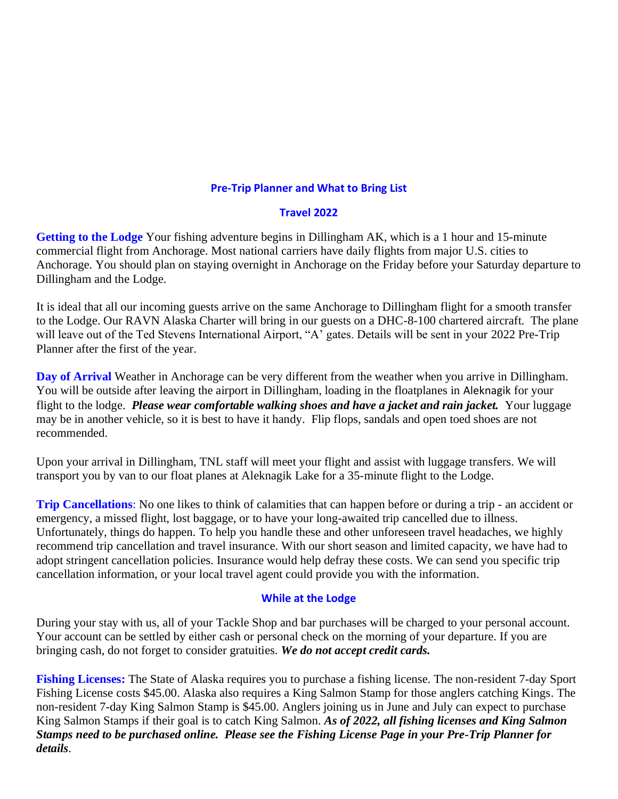### **Pre-Trip Planner and What to Bring List**

#### **Travel 2022**

**Getting to the Lodge** Your fishing adventure begins in Dillingham AK, which is a 1 hour and 15-minute commercial flight from Anchorage. Most national carriers have daily flights from major U.S. cities to Anchorage. You should plan on staying overnight in Anchorage on the Friday before your Saturday departure to Dillingham and the Lodge.

It is ideal that all our incoming guests arrive on the same Anchorage to Dillingham flight for a smooth transfer to the Lodge. Our RAVN Alaska Charter will bring in our guests on a DHC-8-100 chartered aircraft. The plane will leave out of the Ted Stevens International Airport, "A' gates. Details will be sent in your 2022 Pre-Trip Planner after the first of the year.

**Day of Arrival** Weather in Anchorage can be very different from the weather when you arrive in Dillingham. You will be outside after leaving the airport in Dillingham, loading in the floatplanes in Aleknagik for your flight to the lodge. *Please wear comfortable walking shoes and have a jacket and rain jacket.* Your luggage may be in another vehicle, so it is best to have it handy. Flip flops, sandals and open toed shoes are not recommended.

Upon your arrival in Dillingham, TNL staff will meet your flight and assist with luggage transfers. We will transport you by van to our float planes at Aleknagik Lake for a 35-minute flight to the Lodge.

**Trip Cancellations**: No one likes to think of calamities that can happen before or during a trip - an accident or emergency, a missed flight, lost baggage, or to have your long-awaited trip cancelled due to illness. Unfortunately, things do happen. To help you handle these and other unforeseen travel headaches, we highly recommend trip cancellation and travel insurance. With our short season and limited capacity, we have had to adopt stringent cancellation policies. Insurance would help defray these costs. We can send you specific trip cancellation information, or your local travel agent could provide you with the information.

### **While at the Lodge**

During your stay with us, all of your Tackle Shop and bar purchases will be charged to your personal account. Your account can be settled by either cash or personal check on the morning of your departure. If you are bringing cash, do not forget to consider gratuities. *We do not accept credit cards.*

**Fishing Licenses:** The State of Alaska requires you to purchase a fishing license. The non-resident 7-day Sport Fishing License costs \$45.00. Alaska also requires a King Salmon Stamp for those anglers catching Kings. The non-resident 7-day King Salmon Stamp is \$45.00. Anglers joining us in June and July can expect to purchase King Salmon Stamps if their goal is to catch King Salmon. *As of 2022, all fishing licenses and King Salmon Stamps need to be purchased online. Please see the Fishing License Page in your Pre-Trip Planner for details*.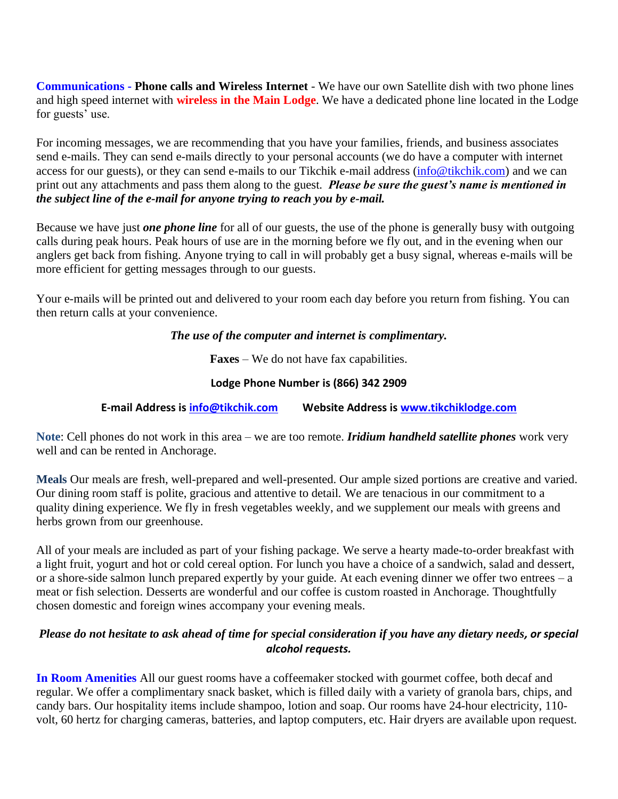**Communications - Phone calls and Wireless Internet** - We have our own Satellite dish with two phone lines and high speed internet with **wireless in the Main Lodge**. We have a dedicated phone line located in the Lodge for guests' use.

For incoming messages, we are recommending that you have your families, friends, and business associates send e-mails. They can send e-mails directly to your personal accounts (we do have a computer with internet access for our guests), or they can send e-mails to our Tikchik e-mail address [\(info@tikchik.com\)](mailto:info@tikchik.com) and we can print out any attachments and pass them along to the guest. *Please be sure the guest's name is mentioned in the subject line of the e-mail for anyone trying to reach you by e-mail.*

Because we have just *one phone line* for all of our guests, the use of the phone is generally busy with outgoing calls during peak hours. Peak hours of use are in the morning before we fly out, and in the evening when our anglers get back from fishing. Anyone trying to call in will probably get a busy signal, whereas e-mails will be more efficient for getting messages through to our guests.

Your e-mails will be printed out and delivered to your room each day before you return from fishing. You can then return calls at your convenience.

*The use of the computer and internet is complimentary.*

**Faxes** – We do not have fax capabilities.

### **Lodge Phone Number is (866) 342 2909**

**E-mail Address is [info@tikchik.com](mailto:info@tikchik.com) Website Address is [www.tikchiklodge.com](mailto:info@tikchik.com)**

**Note**: Cell phones do not work in this area – we are too remote. *Iridium handheld satellite phones* work very well and can be rented in Anchorage.

**Meals** Our meals are fresh, well-prepared and well-presented. Our ample sized portions are creative and varied. Our dining room staff is polite, gracious and attentive to detail. We are tenacious in our commitment to a quality dining experience. We fly in fresh vegetables weekly, and we supplement our meals with greens and herbs grown from our greenhouse.

All of your meals are included as part of your fishing package. We serve a hearty made-to-order breakfast with a light fruit, yogurt and hot or cold cereal option. For lunch you have a choice of a sandwich, salad and dessert, or a shore-side salmon lunch prepared expertly by your guide. At each evening dinner we offer two entrees – a meat or fish selection. Desserts are wonderful and our coffee is custom roasted in Anchorage. Thoughtfully chosen domestic and foreign wines accompany your evening meals.

## *Please do not hesitate to ask ahead of time for special consideration if you have any dietary needs, or special alcohol requests.*

**In Room Amenities** All our guest rooms have a coffeemaker stocked with gourmet coffee, both decaf and regular. We offer a complimentary snack basket, which is filled daily with a variety of granola bars, chips, and candy bars. Our hospitality items include shampoo, lotion and soap. Our rooms have 24-hour electricity, 110 volt, 60 hertz for charging cameras, batteries, and laptop computers, etc. Hair dryers are available upon request.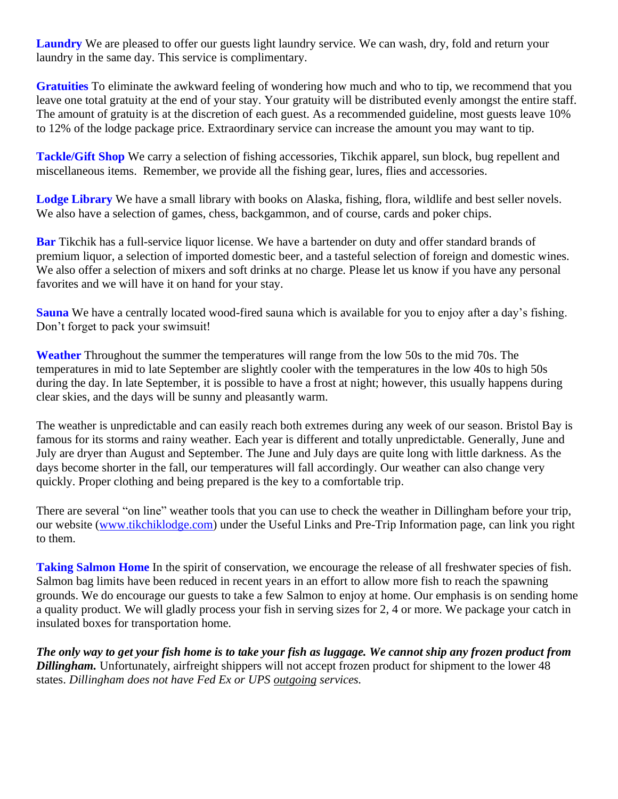Laundry We are pleased to offer our guests light laundry service. We can wash, dry, fold and return your laundry in the same day. This service is complimentary.

**Gratuities** To eliminate the awkward feeling of wondering how much and who to tip, we recommend that you leave one total gratuity at the end of your stay. Your gratuity will be distributed evenly amongst the entire staff. The amount of gratuity is at the discretion of each guest. As a recommended guideline, most guests leave 10% to 12% of the lodge package price. Extraordinary service can increase the amount you may want to tip.

**Tackle/Gift Shop** We carry a selection of fishing accessories, Tikchik apparel, sun block, bug repellent and miscellaneous items. Remember, we provide all the fishing gear, lures, flies and accessories.

**Lodge Library** We have a small library with books on Alaska, fishing, flora, wildlife and best seller novels. We also have a selection of games, chess, backgammon, and of course, cards and poker chips.

**Bar** Tikchik has a full-service liquor license. We have a bartender on duty and offer standard brands of premium liquor, a selection of imported domestic beer, and a tasteful selection of foreign and domestic wines. We also offer a selection of mixers and soft drinks at no charge. Please let us know if you have any personal favorites and we will have it on hand for your stay.

**Sauna** We have a centrally located wood-fired sauna which is available for you to enjoy after a day's fishing. Don't forget to pack your swimsuit!

**Weather** Throughout the summer the temperatures will range from the low 50s to the mid 70s. The temperatures in mid to late September are slightly cooler with the temperatures in the low 40s to high 50s during the day. In late September, it is possible to have a frost at night; however, this usually happens during clear skies, and the days will be sunny and pleasantly warm.

The weather is unpredictable and can easily reach both extremes during any week of our season. Bristol Bay is famous for its storms and rainy weather. Each year is different and totally unpredictable. Generally, June and July are dryer than August and September. The June and July days are quite long with little darkness. As the days become shorter in the fall, our temperatures will fall accordingly. Our weather can also change very quickly. Proper clothing and being prepared is the key to a comfortable trip.

There are several "on line" weather tools that you can use to check the weather in Dillingham before your trip, our website [\(www.tikchiklodge.com\)](http://www.tikchiklodge.com/) under the Useful Links and Pre-Trip Information page, can link you right to them.

**Taking Salmon Home** In the spirit of conservation, we encourage the release of all freshwater species of fish. Salmon bag limits have been reduced in recent years in an effort to allow more fish to reach the spawning grounds. We do encourage our guests to take a few Salmon to enjoy at home. Our emphasis is on sending home a quality product. We will gladly process your fish in serving sizes for 2, 4 or more. We package your catch in insulated boxes for transportation home.

*The only way to get your fish home is to take your fish as luggage. We cannot ship any frozen product from Dillingham.* Unfortunately, airfreight shippers will not accept frozen product for shipment to the lower 48 states. *Dillingham does not have Fed Ex or UPS outgoing services.*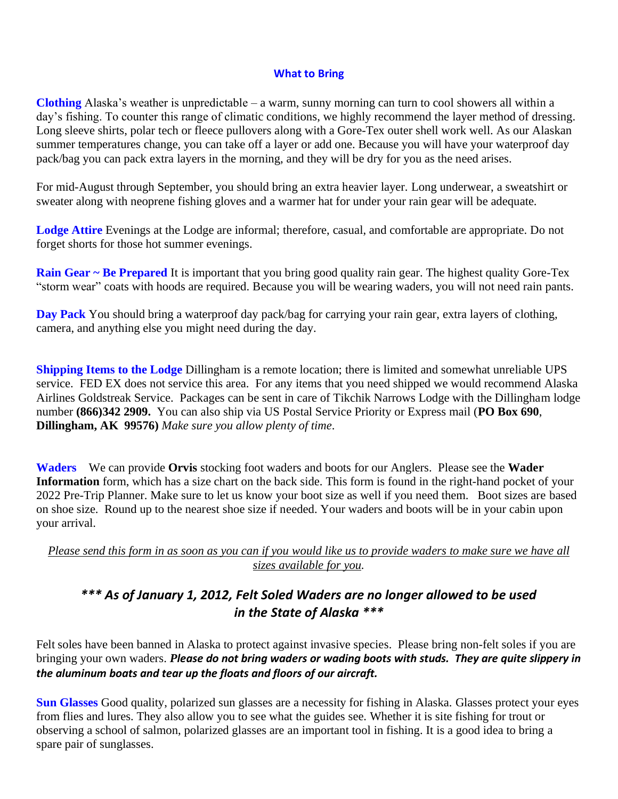#### **What to Bring**

**Clothing** Alaska's weather is unpredictable – a warm, sunny morning can turn to cool showers all within a day's fishing. To counter this range of climatic conditions, we highly recommend the layer method of dressing. Long sleeve shirts, polar tech or fleece pullovers along with a Gore-Tex outer shell work well. As our Alaskan summer temperatures change, you can take off a layer or add one. Because you will have your waterproof day pack/bag you can pack extra layers in the morning, and they will be dry for you as the need arises.

For mid-August through September, you should bring an extra heavier layer. Long underwear, a sweatshirt or sweater along with neoprene fishing gloves and a warmer hat for under your rain gear will be adequate.

**Lodge Attire** Evenings at the Lodge are informal; therefore, casual, and comfortable are appropriate. Do not forget shorts for those hot summer evenings.

**Rain Gear ~ Be Prepared** It is important that you bring good quality rain gear. The highest quality Gore-Tex "storm wear" coats with hoods are required. Because you will be wearing waders, you will not need rain pants.

**Day Pack** You should bring a waterproof day pack/bag for carrying your rain gear, extra layers of clothing, camera, and anything else you might need during the day.

**Shipping Items to the Lodge Dillingham is a remote location; there is limited and somewhat unreliable UPS** service. FED EX does not service this area. For any items that you need shipped we would recommend Alaska Airlines Goldstreak Service. Packages can be sent in care of Tikchik Narrows Lodge with the Dillingham lodge number **(866)342 2909.** You can also ship via US Postal Service Priority or Express mail (**PO Box 690**, **Dillingham, AK 99576)** *Make sure you allow plenty of time*.

**Waders** We can provide **Orvis** stocking foot waders and boots for our Anglers. Please see the **Wader Information** form, which has a size chart on the back side. This form is found in the right-hand pocket of your 2022 Pre-Trip Planner. Make sure to let us know your boot size as well if you need them. Boot sizes are based on shoe size. Round up to the nearest shoe size if needed. Your waders and boots will be in your cabin upon your arrival.

*Please send this form in as soon as you can if you would like us to provide waders to make sure we have all sizes available for you.*

# *\*\*\* As of January 1, 2012, Felt Soled Waders are no longer allowed to be used in the State of Alaska \*\*\**

Felt soles have been banned in Alaska to protect against invasive species. Please bring non-felt soles if you are bringing your own waders. *Please do not bring waders or wading boots with studs. They are quite slippery in the aluminum boats and tear up the floats and floors of our aircraft.*

**Sun Glasses** Good quality, polarized sun glasses are a necessity for fishing in Alaska. Glasses protect your eyes from flies and lures. They also allow you to see what the guides see. Whether it is site fishing for trout or observing a school of salmon, polarized glasses are an important tool in fishing. It is a good idea to bring a spare pair of sunglasses.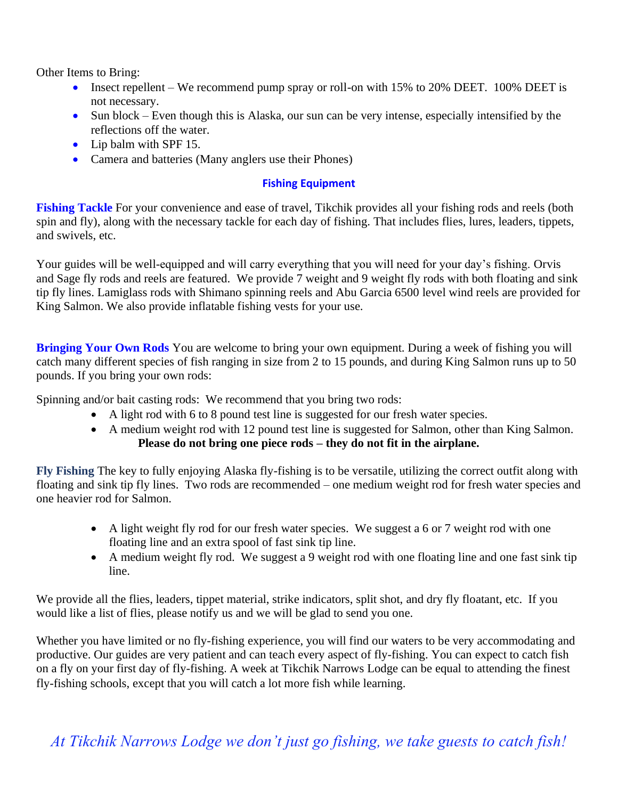Other Items to Bring:

- Insect repellent We recommend pump spray or roll-on with 15% to 20% DEET. 100% DEET is not necessary.
- Sun block Even though this is Alaska, our sun can be very intense, especially intensified by the reflections off the water.
- Lip balm with SPF 15.
- Camera and batteries (Many anglers use their Phones)

# **Fishing Equipment**

**Fishing Tackle** For your convenience and ease of travel, Tikchik provides all your fishing rods and reels (both spin and fly), along with the necessary tackle for each day of fishing. That includes flies, lures, leaders, tippets, and swivels, etc.

Your guides will be well-equipped and will carry everything that you will need for your day's fishing. Orvis and Sage fly rods and reels are featured. We provide 7 weight and 9 weight fly rods with both floating and sink tip fly lines. Lamiglass rods with Shimano spinning reels and Abu Garcia 6500 level wind reels are provided for King Salmon. We also provide inflatable fishing vests for your use.

**Bringing Your Own Rods** You are welcome to bring your own equipment. During a week of fishing you will catch many different species of fish ranging in size from 2 to 15 pounds, and during King Salmon runs up to 50 pounds. If you bring your own rods:

Spinning and/or bait casting rods: We recommend that you bring two rods:

- A light rod with 6 to 8 pound test line is suggested for our fresh water species.
- A medium weight rod with 12 pound test line is suggested for Salmon, other than King Salmon. **Please do not bring one piece rods – they do not fit in the airplane.**

**Fly Fishing** The key to fully enjoying Alaska fly-fishing is to be versatile, utilizing the correct outfit along with floating and sink tip fly lines. Two rods are recommended – one medium weight rod for fresh water species and one heavier rod for Salmon.

- A light weight fly rod for our fresh water species. We suggest a 6 or 7 weight rod with one floating line and an extra spool of fast sink tip line.
- A medium weight fly rod. We suggest a 9 weight rod with one floating line and one fast sink tip line.

We provide all the flies, leaders, tippet material, strike indicators, split shot, and dry fly floatant, etc. If you would like a list of flies, please notify us and we will be glad to send you one.

Whether you have limited or no fly-fishing experience, you will find our waters to be very accommodating and productive. Our guides are very patient and can teach every aspect of fly-fishing. You can expect to catch fish on a fly on your first day of fly-fishing. A week at Tikchik Narrows Lodge can be equal to attending the finest fly-fishing schools, except that you will catch a lot more fish while learning.

*At Tikchik Narrows Lodge we don't just go fishing, we take guests to catch fish!*